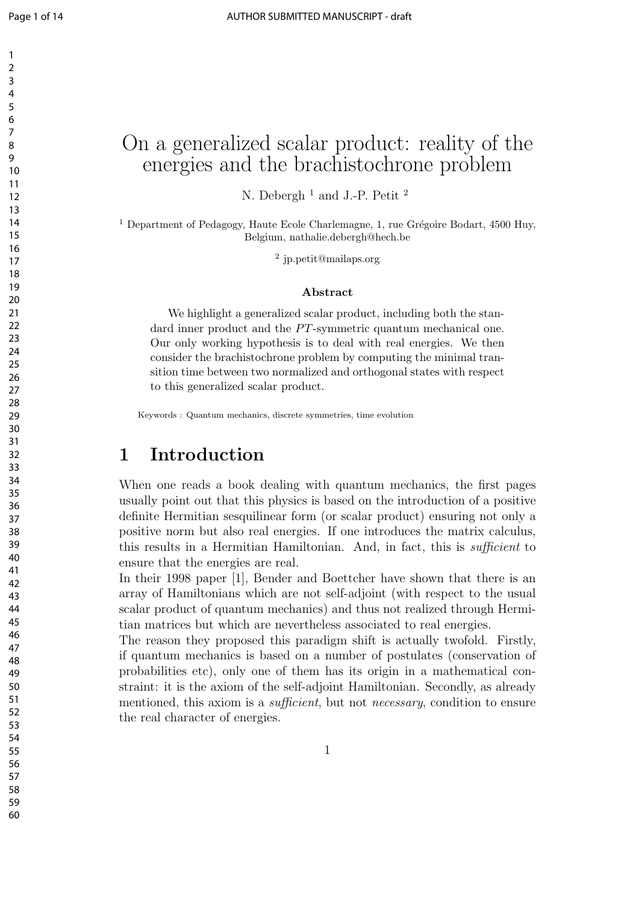# On a generalized scalar product: reality of the energies and the brachistochrone problem

N. Debergh<sup>1</sup> and J.-P. Petit<sup>2</sup>

 Department of Pedagogy, Haute Ecole Charlemagne, 1, rue Grégoire Bodart, 4500 Huy, Belgium, nathalie.debergh@hech.be

jp.petit@mailaps.org

#### **Abstract**

We highlight a generalized scalar product, including both the standard inner product and the *PT*-symmetric quantum mechanical one. Our only working hypothesis is to deal with real energies. We then consider the brachistochrone problem by computing the minimal transition time between two normalized and orthogonal states with respect to this generalized scalar product.

Keywords : Quantum mechanics, discrete symmetries, time evolution

### **1 Introduction**

When one reads a book dealing with quantum mechanics, the first pages usually point out that this physics is based on the introduction of a positive definite Hermitian sesquilinear form (or scalar product) ensuring not only a positive norm but also real energies. If one introduces the matrix calculus, this results in a Hermitian Hamiltonian. And, in fact, this is *sufficient* to ensure that the energies are real.

In their 1998 paper [1], Bender and Boettcher have shown that there is an array of Hamiltonians which are not self-adjoint (with respect to the usual scalar product of quantum mechanics) and thus not realized through Hermitian matrices but which are nevertheless associated to real energies.

The reason they proposed this paradigm shift is actually twofold. Firstly, if quantum mechanics is based on a number of postulates (conservation of probabilities etc), only one of them has its origin in a mathematical constraint: it is the axiom of the self-adjoint Hamiltonian. Secondly, as already mentioned, this axiom is a *sufficient*, but not *necessary*, condition to ensure the real character of energies.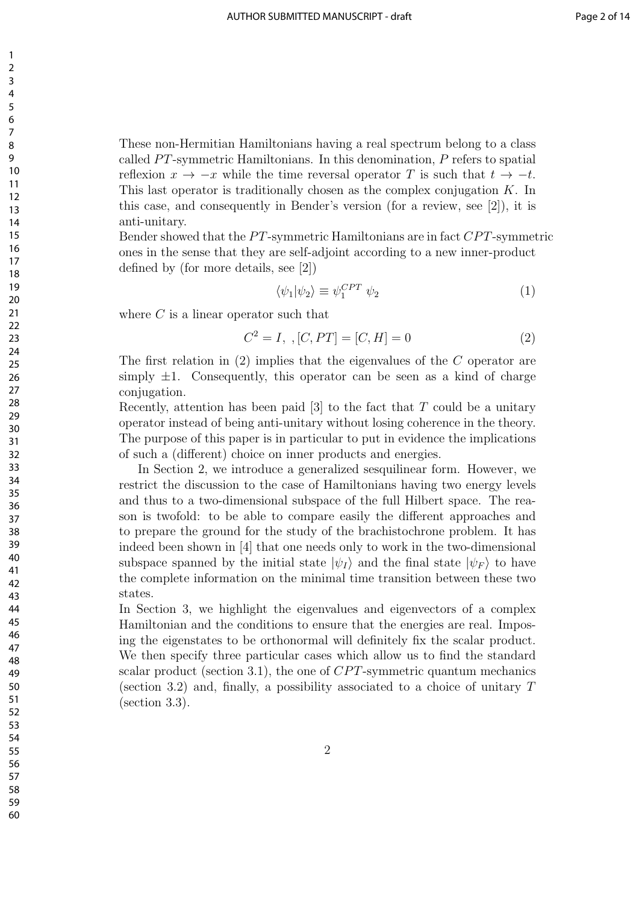These non-Hermitian Hamiltonians having a real spectrum belong to a class called *PT*-symmetric Hamiltonians. In this denomination, *P* refers to spatial reflexion  $x \to -x$  while the time reversal operator *T* is such that  $t \to -t$ . This last operator is traditionally chosen as the complex conjugation *K*. In this case, and consequently in Bender's version (for a review, see [2]), it is anti-unitary.

Bender showed that the *P T*-symmetric Hamiltonians are in fact *CP T*-symmetric ones in the sense that they are self-adjoint according to a new inner-product defined by (for more details, see [2])

$$
\langle \psi_1 | \psi_2 \rangle \equiv \psi_1^{CPT} \psi_2 \tag{1}
$$

where *C* is a linear operator such that

$$
C^2 = I, \, , [C, PT] = [C, H] = 0 \tag{2}
$$

The first relation in (2) implies that the eigenvalues of the *C* operator are simply  $\pm 1$ . Consequently, this operator can be seen as a kind of charge conjugation.

Recently, attention has been paid [3] to the fact that *T* could be a unitary operator instead of being anti-unitary without losing coherence in the theory. The purpose of this paper is in particular to put in evidence the implications of such a (different) choice on inner products and energies.

In Section 2, we introduce a generalized sesquilinear form. However, we restrict the discussion to the case of Hamiltonians having two energy levels and thus to a two-dimensional subspace of the full Hilbert space. The reason is twofold: to be able to compare easily the different approaches and to prepare the ground for the study of the brachistochrone problem. It has indeed been shown in [4] that one needs only to work in the two-dimensional subspace spanned by the initial state  $|\psi_I\rangle$  and the final state  $|\psi_F\rangle$  to have the complete information on the minimal time transition between these two states.

In Section 3, we highlight the eigenvalues and eigenvectors of a complex Hamiltonian and the conditions to ensure that the energies are real. Imposing the eigenstates to be orthonormal will definitely fix the scalar product. We then specify three particular cases which allow us to find the standard scalar product (section 3.1), the one of *CP T*-symmetric quantum mechanics (section 3.2) and, finally, a possibility associated to a choice of unitary *T* (section 3.3).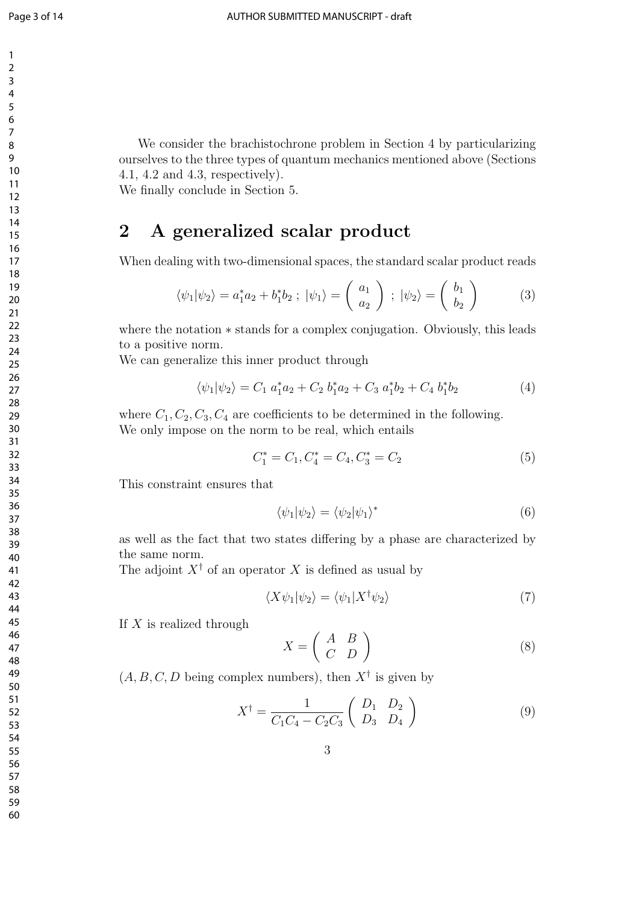We consider the brachistochrone problem in Section 4 by particularizing ourselves to the three types of quantum mechanics mentioned above (Sections 4.1, 4.2 and 4.3, respectively).

We finally conclude in Section 5.

## **2 A generalized scalar product**

When dealing with two-dimensional spaces, the standard scalar product reads

$$
\langle \psi_1 | \psi_2 \rangle = a_1^* a_2 + b_1^* b_2 \; ; \; |\psi_1 \rangle = \begin{pmatrix} a_1 \\ a_2 \end{pmatrix} \; ; \; |\psi_2 \rangle = \begin{pmatrix} b_1 \\ b_2 \end{pmatrix} \tag{3}
$$

where the notation *∗* stands for a complex conjugation. Obviously, this leads to a positive norm.

We can generalize this inner product through

$$
\langle \psi_1 | \psi_2 \rangle = C_1 a_1^* a_2 + C_2 b_1^* a_2 + C_3 a_1^* b_2 + C_4 b_1^* b_2 \tag{4}
$$

where  $C_1, C_2, C_3, C_4$  are coefficients to be determined in the following. We only impose on the norm to be real, which entails

$$
C_1^* = C_1, C_4^* = C_4, C_3^* = C_2 \tag{5}
$$

This constraint ensures that

$$
\langle \psi_1 | \psi_2 \rangle = \langle \psi_2 | \psi_1 \rangle^* \tag{6}
$$

as well as the fact that two states differing by a phase are characterized by the same norm.

The adjoint  $X^{\dagger}$  of an operator X is defined as usual by

$$
\langle X\psi_1|\psi_2\rangle = \langle \psi_1|X^\dagger\psi_2\rangle \tag{7}
$$

If *X* is realized through

$$
X = \left(\begin{array}{cc} A & B \\ C & D \end{array}\right) \tag{8}
$$

 $(A, B, C, D)$  being complex numbers), then  $X^{\dagger}$  is given by

$$
X^{\dagger} = \frac{1}{C_1 C_4 - C_2 C_3} \begin{pmatrix} D_1 & D_2 \\ D_3 & D_4 \end{pmatrix}
$$
 (9)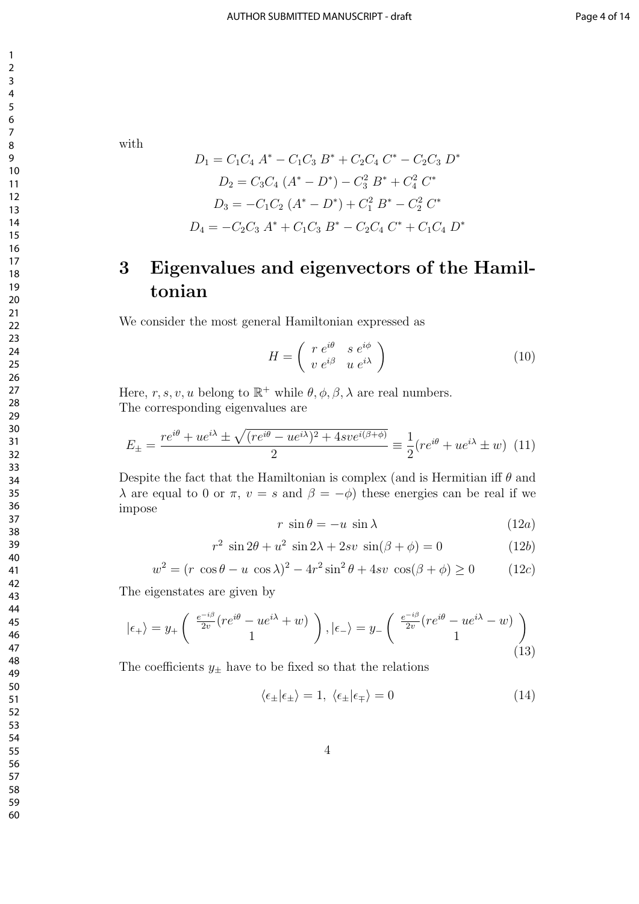with

$$
D_1 = C_1 C_4 A^* - C_1 C_3 B^* + C_2 C_4 C^* - C_2 C_3 D^*
$$
  
\n
$$
D_2 = C_3 C_4 (A^* - D^*) - C_3^2 B^* + C_4^2 C^*
$$
  
\n
$$
D_3 = -C_1 C_2 (A^* - D^*) + C_1^2 B^* - C_2^2 C^*
$$
  
\n
$$
D_4 = -C_2 C_3 A^* + C_1 C_3 B^* - C_2 C_4 C^* + C_1 C_4 D^*
$$

# **3 Eigenvalues and eigenvectors of the Hamiltonian**

We consider the most general Hamiltonian expressed as

$$
H = \left(\begin{array}{cc} r e^{i\theta} & s e^{i\phi} \\ v e^{i\beta} & u e^{i\lambda} \end{array}\right) \tag{10}
$$

Here,  $r, s, v, u$  belong to  $\mathbb{R}^+$  while  $\theta, \phi, \beta, \lambda$  are real numbers. The corresponding eigenvalues are

$$
E_{\pm} = \frac{r e^{i\theta} + u e^{i\lambda} \pm \sqrt{(r e^{i\theta} - u e^{i\lambda})^2 + 4s v e^{i(\beta + \phi)}}}{2} \equiv \frac{1}{2} (r e^{i\theta} + u e^{i\lambda} \pm w) \tag{11}
$$

Despite the fact that the Hamiltonian is complex (and is Hermitian iff *θ* and *λ* are equal to 0 or *π*, *v* = *s* and  $β = -φ$  these energies can be real if we impose

$$
r \sin \theta = -u \sin \lambda \tag{12a}
$$

$$
r^2 \sin 2\theta + u^2 \sin 2\lambda + 2sv \sin(\beta + \phi) = 0 \tag{12b}
$$

$$
w2 = (r \cos \theta - u \cos \lambda)2 - 4r2 \sin2 \theta + 4sv \cos(\beta + \phi) \ge 0
$$
 (12*c*)

The eigenstates are given by

$$
|\epsilon_{+}\rangle = y_{+} \begin{pmatrix} \frac{e^{-i\beta}}{2v} (re^{i\theta} - ue^{i\lambda} + w) \\ 1 \end{pmatrix}, |\epsilon_{-}\rangle = y_{-} \begin{pmatrix} \frac{e^{-i\beta}}{2v} (re^{i\theta} - ue^{i\lambda} - w) \\ 1 \end{pmatrix}
$$
(13)

The coefficients  $y_{\pm}$  have to be fixed so that the relations

$$
\langle \epsilon_{\pm} | \epsilon_{\pm} \rangle = 1, \ \langle \epsilon_{\pm} | \epsilon_{\mp} \rangle = 0 \tag{14}
$$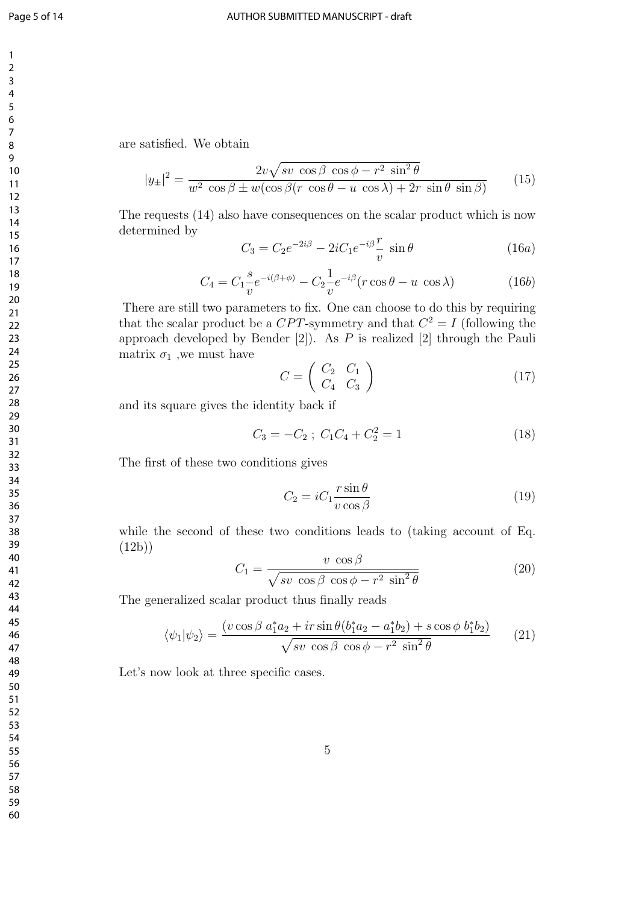are satisfied. We obtain

$$
|y_{\pm}|^2 = \frac{2v\sqrt{sv\,\cos\beta\,\cos\phi - r^2\,\sin^2\theta}}{w^2\,\cos\beta \pm w(\cos\beta(r\,\cos\theta - u\,\cos\lambda) + 2r\,\sin\theta\,\sin\beta)}\tag{15}
$$

The requests (14) also have consequences on the scalar product which is now determined by

$$
C_3 = C_2 e^{-2i\beta} - 2iC_1 e^{-i\beta} \frac{r}{v} \sin \theta \qquad (16a)
$$

$$
C_4 = C_1 \frac{s}{v} e^{-i(\beta + \phi)} - C_2 \frac{1}{v} e^{-i\beta} (r \cos \theta - u \cos \lambda)
$$
 (16b)

There are still two parameters to fix. One can choose to do this by requiring that the scalar product be a  $CPT$ -symmetry and that  $C^2 = I$  (following the approach developed by Bender [2]). As *P* is realized [2] through the Pauli matrix  $\sigma_1$ , we must have

$$
C = \left(\begin{array}{cc} C_2 & C_1 \\ C_4 & C_3 \end{array}\right) \tag{17}
$$

and its square gives the identity back if

$$
C_3 = -C_2 \; ; \; C_1 C_4 + C_2^2 = 1 \tag{18}
$$

The first of these two conditions gives

$$
C_2 = iC_1 \frac{r \sin \theta}{v \cos \beta} \tag{19}
$$

while the second of these two conditions leads to (taking account of Eq.  $(12b)$ 

$$
C_1 = \frac{v \cos \beta}{\sqrt{sv \cos \beta \cos \phi - r^2 \sin^2 \theta}}
$$
(20)

The generalized scalar product thus finally reads

$$
\langle \psi_1 | \psi_2 \rangle = \frac{(v \cos \beta a_1^* a_2 + ir \sin \theta (b_1^* a_2 - a_1^* b_2) + s \cos \phi b_1^* b_2)}{\sqrt{s v \cos \beta \cos \phi - r^2 \sin^2 \theta}}
$$
(21)

Let's now look at three specific cases.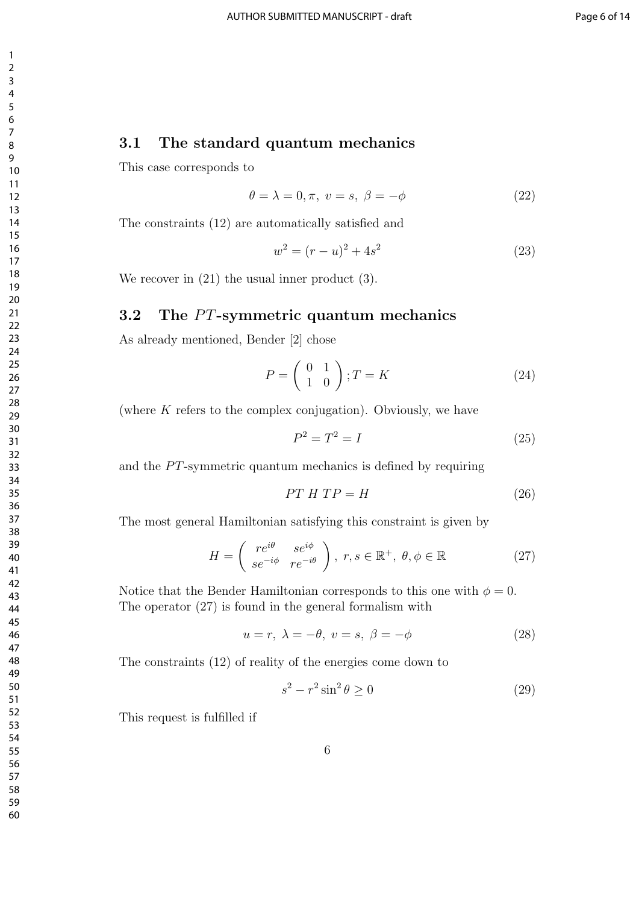#### **3.1 The standard quantum mechanics**

This case corresponds to

$$
\theta = \lambda = 0, \pi, \ v = s, \ \beta = -\phi \tag{22}
$$

The constraints (12) are automatically satisfied and

$$
w^2 = (r - u)^2 + 4s^2 \tag{23}
$$

We recover in  $(21)$  the usual inner product  $(3)$ .

### **3.2** The PT-symmetric quantum mechanics

As already mentioned, Bender [2] chose

$$
P = \left(\begin{array}{cc} 0 & 1\\ 1 & 0 \end{array}\right); T = K \tag{24}
$$

(where *K* refers to the complex conjugation). Obviously, we have

$$
P^2 = T^2 = I \tag{25}
$$

and the *PT*-symmetric quantum mechanics is defined by requiring

$$
PT \ H \ TP = H \tag{26}
$$

The most general Hamiltonian satisfying this constraint is given by

$$
H = \left(\begin{array}{cc} re^{i\theta} & se^{i\phi} \\ se^{-i\phi} & re^{-i\theta} \end{array}\right), r, s \in \mathbb{R}^+, \theta, \phi \in \mathbb{R}
$$
 (27)

Notice that the Bender Hamiltonian corresponds to this one with  $\phi = 0$ . The operator (27) is found in the general formalism with

$$
u = r, \lambda = -\theta, v = s, \beta = -\phi \tag{28}
$$

The constraints (12) of reality of the energies come down to

$$
s^2 - r^2 \sin^2 \theta \ge 0 \tag{29}
$$

This request is fulfilled if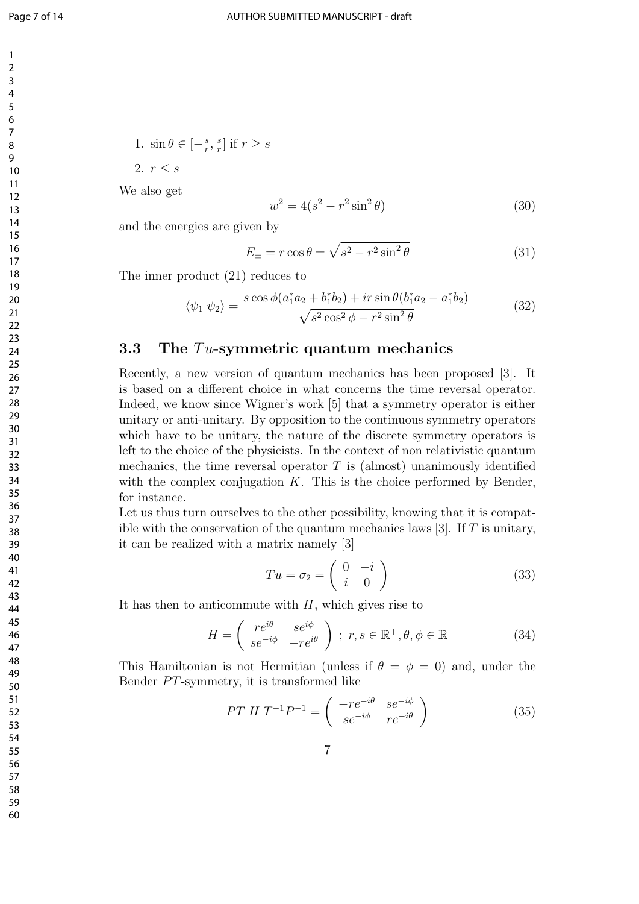1. 
$$
\sin \theta \in \left[-\frac{s}{r}, \frac{s}{r}\right]
$$
 if  $r \ge s$ 

2.  $r \leq s$ 

We also get

$$
w^2 = 4(s^2 - r^2 \sin^2 \theta)
$$
 (30)

and the energies are given by

$$
E_{\pm} = r \cos \theta \pm \sqrt{s^2 - r^2 \sin^2 \theta} \tag{31}
$$

The inner product (21) reduces to

$$
\langle \psi_1 | \psi_2 \rangle = \frac{s \cos \phi (a_1^* a_2 + b_1^* b_2) + ir \sin \theta (b_1^* a_2 - a_1^* b_2)}{\sqrt{s^2 \cos^2 \phi - r^2 \sin^2 \theta}}
$$
(32)

#### **3.3 The** *T u***-symmetric quantum mechanics**

Recently, a new version of quantum mechanics has been proposed [3]. It is based on a different choice in what concerns the time reversal operator. Indeed, we know since Wigner's work [5] that a symmetry operator is either unitary or anti-unitary. By opposition to the continuous symmetry operators which have to be unitary, the nature of the discrete symmetry operators is left to the choice of the physicists. In the context of non relativistic quantum mechanics, the time reversal operator  $T$  is (almost) unanimously identified with the complex conjugation *K*. This is the choice performed by Bender, for instance.

Let us thus turn ourselves to the other possibility, knowing that it is compatible with the conservation of the quantum mechanics laws [3]. If *T* is unitary, it can be realized with a matrix namely [3]

$$
Tu = \sigma_2 = \begin{pmatrix} 0 & -i \\ i & 0 \end{pmatrix}
$$
 (33)

It has then to anticommute with *H*, which gives rise to

$$
H = \begin{pmatrix} re^{i\theta} & se^{i\phi} \\ se^{-i\phi} & -re^{i\theta} \end{pmatrix} ; r, s \in \mathbb{R}^+, \theta, \phi \in \mathbb{R}
$$
 (34)

This Hamiltonian is not Hermitian (unless if  $\theta = \phi = 0$ ) and, under the Bender  $PT$ -symmetry, it is transformed like

$$
PT H T^{-1} P^{-1} = \begin{pmatrix} -r e^{-i\theta} & s e^{-i\phi} \\ s e^{-i\phi} & r e^{-i\theta} \end{pmatrix}
$$
 (35)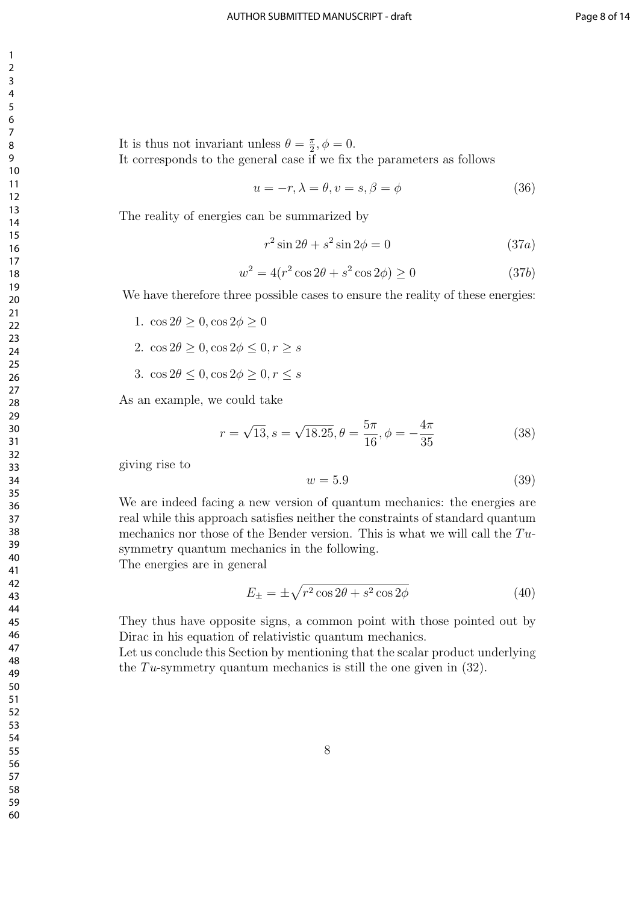It is thus not invariant unless  $\theta = \frac{\pi}{2}$  $\frac{\pi}{2}, \phi = 0.$ It corresponds to the general case if we fix the parameters as follows

$$
u = -r, \lambda = \theta, v = s, \beta = \phi \tag{36}
$$

The reality of energies can be summarized by

$$
r^2 \sin 2\theta + s^2 \sin 2\phi = 0 \tag{37a}
$$

$$
w^2 = 4(r^2 \cos 2\theta + s^2 \cos 2\phi) \ge 0
$$
 (37b)

We have therefore three possible cases to ensure the reality of these energies:

- 1.  $\cos 2\theta \geq 0$ ,  $\cos 2\phi \geq 0$
- 2.  $\cos 2\theta \geq 0$ ,  $\cos 2\phi \leq 0$ ,  $r \geq s$
- 3.  $\cos 2\theta \leq 0$ ,  $\cos 2\phi \geq 0$ ,  $r \leq s$

As an example, we could take

$$
r = \sqrt{13}, s = \sqrt{18.25}, \theta = \frac{5\pi}{16}, \phi = -\frac{4\pi}{35}
$$
 (38)

giving rise to

$$
w = 5.9 \tag{39}
$$

We are indeed facing a new version of quantum mechanics: the energies are real while this approach satisfies neither the constraints of standard quantum mechanics nor those of the Bender version. This is what we will call the  $Tu$ symmetry quantum mechanics in the following. The energies are in general

$$
E_{\pm} = \pm \sqrt{r^2 \cos 2\theta + s^2 \cos 2\phi} \tag{40}
$$

They thus have opposite signs, a common point with those pointed out by Dirac in his equation of relativistic quantum mechanics.

Let us conclude this Section by mentioning that the scalar product underlying the *T u*-symmetry quantum mechanics is still the one given in (32).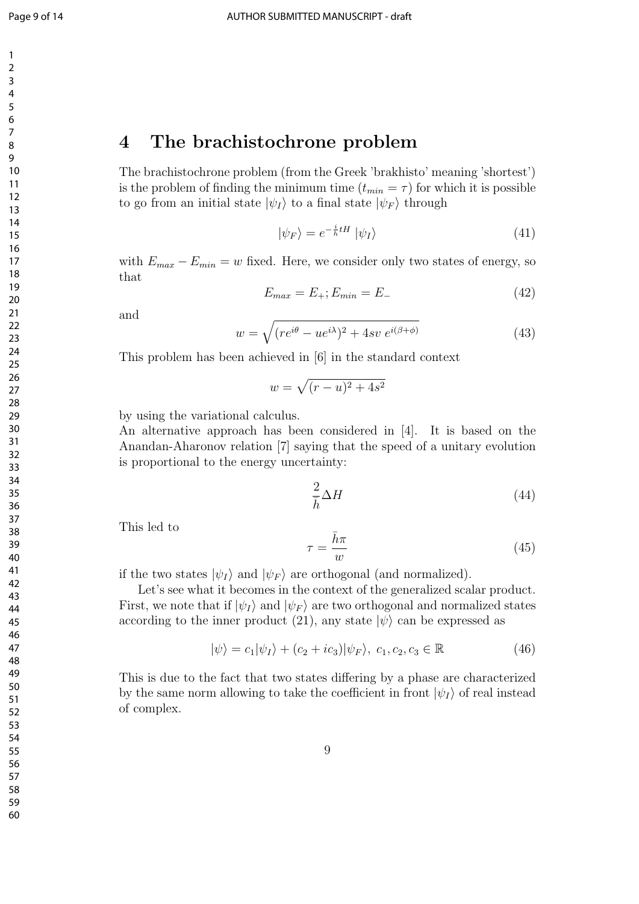## **The brachistochrone problem**

The brachistochrone problem (from the Greek 'brakhisto' meaning 'shortest') is the problem of finding the minimum time  $(t_{min} = \tau)$  for which it is possible to go from an initial state  $|\psi_I\rangle$  to a final state  $|\psi_F\rangle$  through

$$
|\psi_F\rangle = e^{-\frac{i}{\hbar}tH} |\psi_I\rangle \tag{41}
$$

with  $E_{max} - E_{min} = w$  fixed. Here, we consider only two states of energy, so that

$$
E_{max} = E_{+}; E_{min} = E_{-}
$$
\n(42)

and

$$
w = \sqrt{(re^{i\theta} - ue^{i\lambda})^2 + 4sv \ e^{i(\beta + \phi)}}
$$
(43)

This problem has been achieved in [6] in the standard context

$$
w = \sqrt{(r-u)^2 + 4s^2}
$$

by using the variational calculus.

An alternative approach has been considered in [4]. It is based on the Anandan-Aharonov relation [7] saying that the speed of a unitary evolution is proportional to the energy uncertainty:

$$
\frac{2}{\bar{h}}\Delta H\tag{44}
$$

This led to

$$
\tau = \frac{\bar{h}\pi}{w} \tag{45}
$$

if the two states  $|\psi_I\rangle$  and  $|\psi_F\rangle$  are orthogonal (and normalized).

Let's see what it becomes in the context of the generalized scalar product. First, we note that if  $|\psi_I\rangle$  and  $|\psi_F\rangle$  are two orthogonal and normalized states according to the inner product (21), any state  $|\psi\rangle$  can be expressed as

$$
|\psi\rangle = c_1|\psi_I\rangle + (c_2 + ic_3)|\psi_F\rangle, \ c_1, c_2, c_3 \in \mathbb{R}
$$
\n
$$
(46)
$$

This is due to the fact that two states differing by a phase are characterized by the same norm allowing to take the coefficient in front  $|\psi_I\rangle$  of real instead of complex.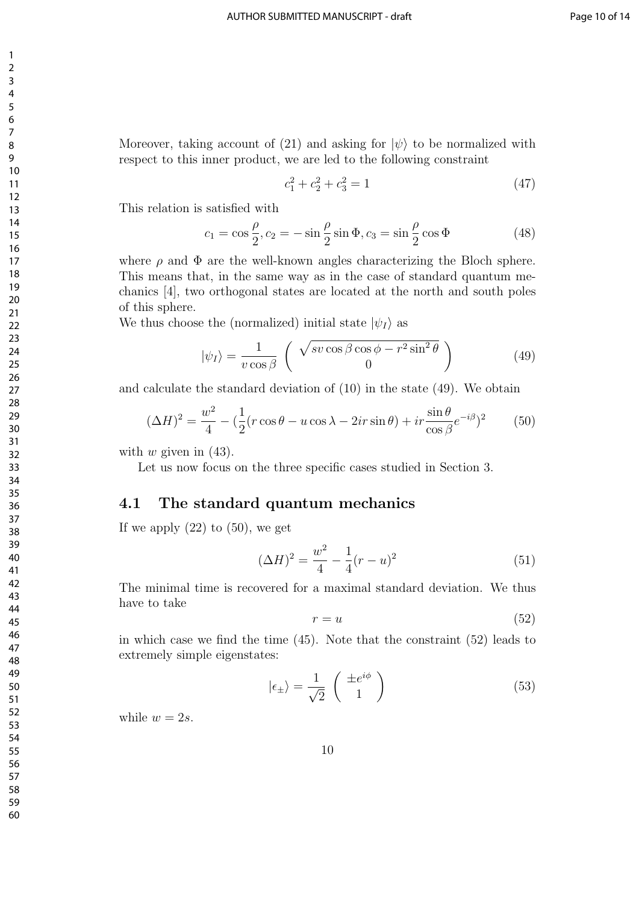Moreover, taking account of (21) and asking for  $|\psi\rangle$  to be normalized with respect to this inner product, we are led to the following constraint

$$
c_1^2 + c_2^2 + c_3^2 = 1\tag{47}
$$

This relation is satisfied with

$$
c_1 = \cos\frac{\rho}{2}, c_2 = -\sin\frac{\rho}{2}\sin\Phi, c_3 = \sin\frac{\rho}{2}\cos\Phi\tag{48}
$$

where  $\rho$  and  $\Phi$  are the well-known angles characterizing the Bloch sphere. This means that, in the same way as in the case of standard quantum mechanics [4], two orthogonal states are located at the north and south poles of this sphere.

We thus choose the (normalized) initial state  $|\psi_I\rangle$  as

$$
|\psi_I\rangle = \frac{1}{v \cos \beta} \left( \sqrt{\frac{\sin 2\theta}{0}} - \frac{v^2 \sin^2 \theta}{0} \right)
$$
 (49)

and calculate the standard deviation of (10) in the state (49). We obtain

$$
(\Delta H)^2 = \frac{w^2}{4} - \left(\frac{1}{2}(r\cos\theta - u\cos\lambda - 2ir\sin\theta) + ir\frac{\sin\theta}{\cos\beta}e^{-i\beta}\right)^2\tag{50}
$$

with  $w$  given in  $(43)$ .

Let us now focus on the three specific cases studied in Section 3.

#### **4.1 The standard quantum mechanics**

If we apply  $(22)$  to  $(50)$ , we get

$$
(\Delta H)^2 = \frac{w^2}{4} - \frac{1}{4}(r - u)^2
$$
\n(51)

The minimal time is recovered for a maximal standard deviation. We thus have to take

$$
r = u \tag{52}
$$

in which case we find the time (45). Note that the constraint (52) leads to extremely simple eigenstates:

$$
|\epsilon_{\pm}\rangle = \frac{1}{\sqrt{2}} \begin{pmatrix} \pm e^{i\phi} \\ 1 \end{pmatrix}
$$
 (53)

while  $w = 2s$ .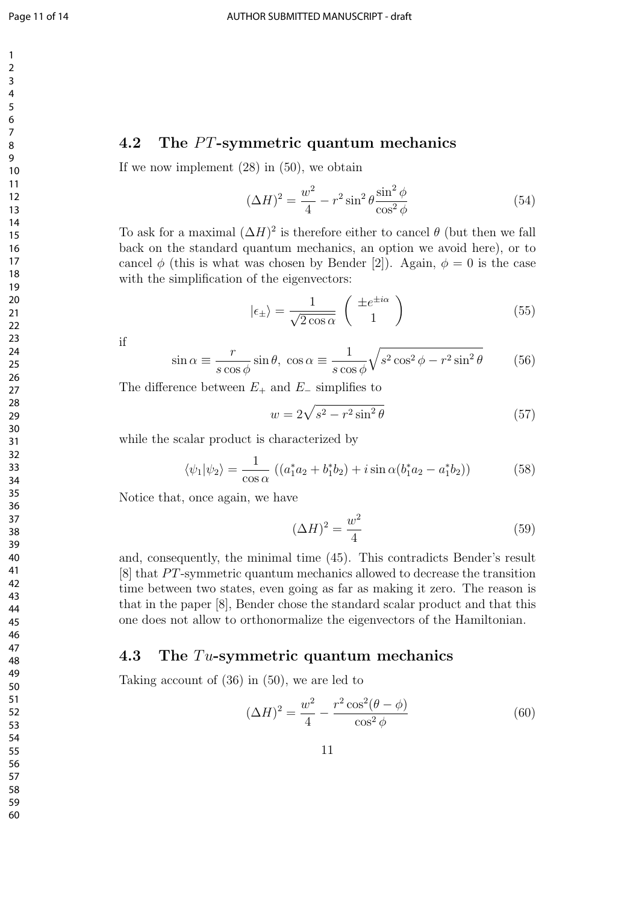#### **4.2** The PT-symmetric quantum mechanics

If we now implement (28) in (50), we obtain

$$
(\Delta H)^2 = \frac{w^2}{4} - r^2 \sin^2 \theta \frac{\sin^2 \phi}{\cos^2 \phi} \tag{54}
$$

To ask for a maximal  $(\Delta H)^2$  is therefore either to cancel  $\theta$  (but then we fall back on the standard quantum mechanics, an option we avoid here), or to cancel  $\phi$  (this is what was chosen by Bender [2]). Again,  $\phi = 0$  is the case with the simplification of the eigenvectors:

$$
|\epsilon_{\pm}\rangle = \frac{1}{\sqrt{2\cos\alpha}} \left(\begin{array}{c} \pm e^{\pm i\alpha} \\ 1 \end{array}\right) \tag{55}
$$

if

$$
\sin \alpha \equiv \frac{r}{s \cos \phi} \sin \theta, \ \cos \alpha \equiv \frac{1}{s \cos \phi} \sqrt{s^2 \cos^2 \phi - r^2 \sin^2 \theta} \tag{56}
$$

The difference between  $E_+$  and  $E_-$  simplifies to

$$
w = 2\sqrt{s^2 - r^2 \sin^2 \theta} \tag{57}
$$

while the scalar product is characterized by

$$
\langle \psi_1 | \psi_2 \rangle = \frac{1}{\cos \alpha} \left( (a_1^* a_2 + b_1^* b_2) + i \sin \alpha (b_1^* a_2 - a_1^* b_2) \right) \tag{58}
$$

Notice that, once again, we have

$$
(\Delta H)^2 = \frac{w^2}{4} \tag{59}
$$

and, consequently, the minimal time (45). This contradicts Bender's result [8] that *P T*-symmetric quantum mechanics allowed to decrease the transition time between two states, even going as far as making it zero. The reason is that in the paper [8], Bender chose the standard scalar product and that this one does not allow to orthonormalize the eigenvectors of the Hamiltonian.

#### **4.3 The** *T u***-symmetric quantum mechanics**

Taking account of (36) in (50), we are led to

$$
(\Delta H)^2 = \frac{w^2}{4} - \frac{r^2 \cos^2(\theta - \phi)}{\cos^2 \phi}
$$
 (60)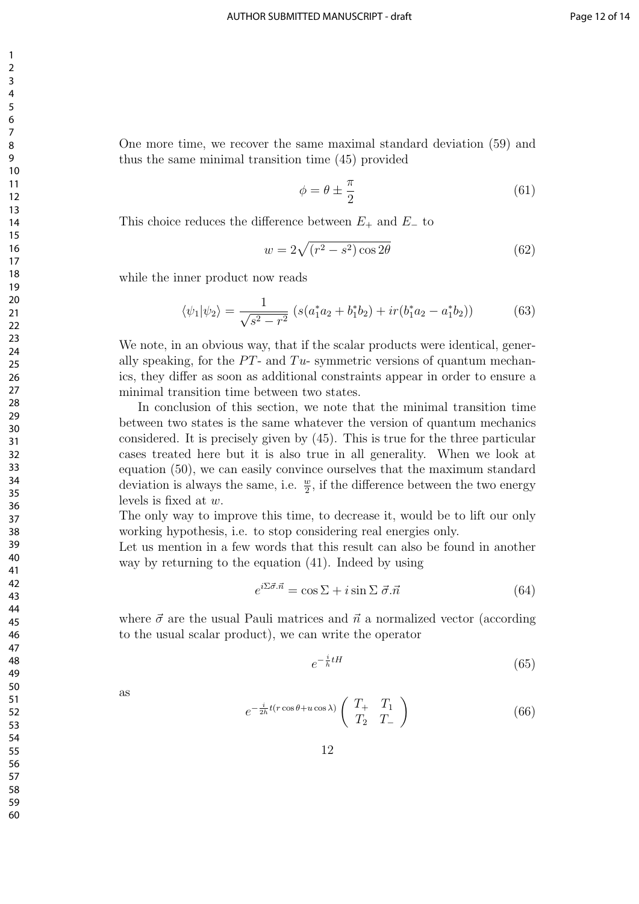One more time, we recover the same maximal standard deviation (59) and thus the same minimal transition time (45) provided

$$
\phi = \theta \pm \frac{\pi}{2} \tag{61}
$$

This choice reduces the difference between  $E_+$  and  $E_-$  to

$$
w = 2\sqrt{(r^2 - s^2)\cos 2\theta} \tag{62}
$$

while the inner product now reads

$$
\langle \psi_1 | \psi_2 \rangle = \frac{1}{\sqrt{s^2 - r^2}} \left( s(a_1^* a_2 + b_1^* b_2) + ir(b_1^* a_2 - a_1^* b_2) \right) \tag{63}
$$

We note, in an obvious way, that if the scalar products were identical, generally speaking, for the  $PT$ - and  $Tu$ - symmetric versions of quantum mechanics, they differ as soon as additional constraints appear in order to ensure a minimal transition time between two states.

In conclusion of this section, we note that the minimal transition time between two states is the same whatever the version of quantum mechanics considered. It is precisely given by (45). This is true for the three particular cases treated here but it is also true in all generality. When we look at equation (50), we can easily convince ourselves that the maximum standard deviation is always the same, i.e.  $\frac{w}{2}$ , if the difference between the two energy levels is fixed at *w*.

The only way to improve this time, to decrease it, would be to lift our only working hypothesis, i.e. to stop considering real energies only.

Let us mention in a few words that this result can also be found in another way by returning to the equation (41). Indeed by using

$$
e^{i\Sigma\vec{\sigma}.\vec{n}} = \cos\Sigma + i\sin\Sigma\,\vec{\sigma}.\vec{n} \tag{64}
$$

where  $\vec{\sigma}$  are the usual Pauli matrices and  $\vec{n}$  a normalized vector (according to the usual scalar product), we can write the operator

$$
e^{-\frac{i}{h}tH} \tag{65}
$$

as

$$
e^{-\frac{i}{2h}t(r\cos\theta + u\cos\lambda)} \begin{pmatrix} T_+ & T_1 \\ T_2 & T_- \end{pmatrix}
$$
 (66)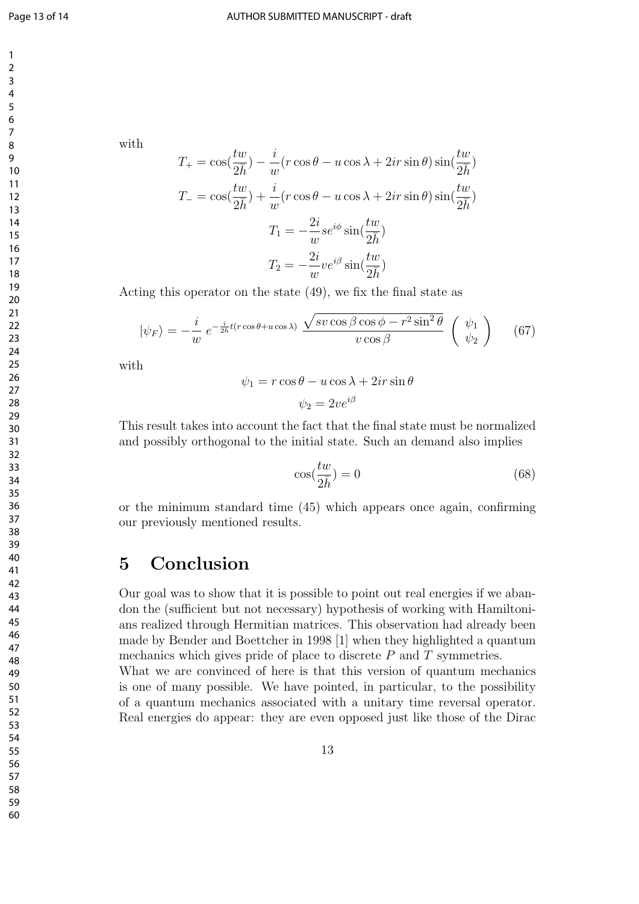with

$$
T_{+} = \cos(\frac{tw}{2\bar{h}}) - \frac{i}{w}(r\cos\theta - u\cos\lambda + 2ir\sin\theta)\sin(\frac{tw}{2\bar{h}})
$$
  

$$
T_{-} = \cos(\frac{tw}{2\bar{h}}) + \frac{i}{w}(r\cos\theta - u\cos\lambda + 2ir\sin\theta)\sin(\frac{tw}{2\bar{h}})
$$
  

$$
T_{1} = -\frac{2i}{w}se^{i\phi}\sin(\frac{tw}{2\bar{h}})
$$
  

$$
T_{2} = -\frac{2i}{w}ve^{i\beta}\sin(\frac{tw}{2\bar{h}})
$$

Acting this operator on the state (49), we fix the final state as

$$
|\psi_F\rangle = -\frac{i}{w} e^{-\frac{i}{2\hbar}t(r\cos\theta + u\cos\lambda)} \frac{\sqrt{\text{sv}\cos\beta\cos\phi - r^2\sin^2\theta}}{\text{v}\cos\beta} \begin{pmatrix} \psi_1\\ \psi_2 \end{pmatrix} (67)
$$

with

$$
\psi_1 = r \cos \theta - u \cos \lambda + 2ir \sin \theta
$$

$$
\psi_2 = 2ve^{i\beta}
$$

This result takes into account the fact that the final state must be normalized and possibly orthogonal to the initial state. Such an demand also implies

$$
\cos(\frac{tw}{2\bar{h}}) = 0\tag{68}
$$

or the minimum standard time (45) which appears once again, confirming our previously mentioned results.

## **5 Conclusion**

Our goal was to show that it is possible to point out real energies if we abandon the (sufficient but not necessary) hypothesis of working with Hamiltonians realized through Hermitian matrices. This observation had already been made by Bender and Boettcher in 1998 [1] when they highlighted a quantum mechanics which gives pride of place to discrete *P* and *T* symmetries. What we are convinced of here is that this version of quantum mechanics is one of many possible. We have pointed, in particular, to the possibility of a quantum mechanics associated with a unitary time reversal operator.

Real energies do appear: they are even opposed just like those of the Dirac